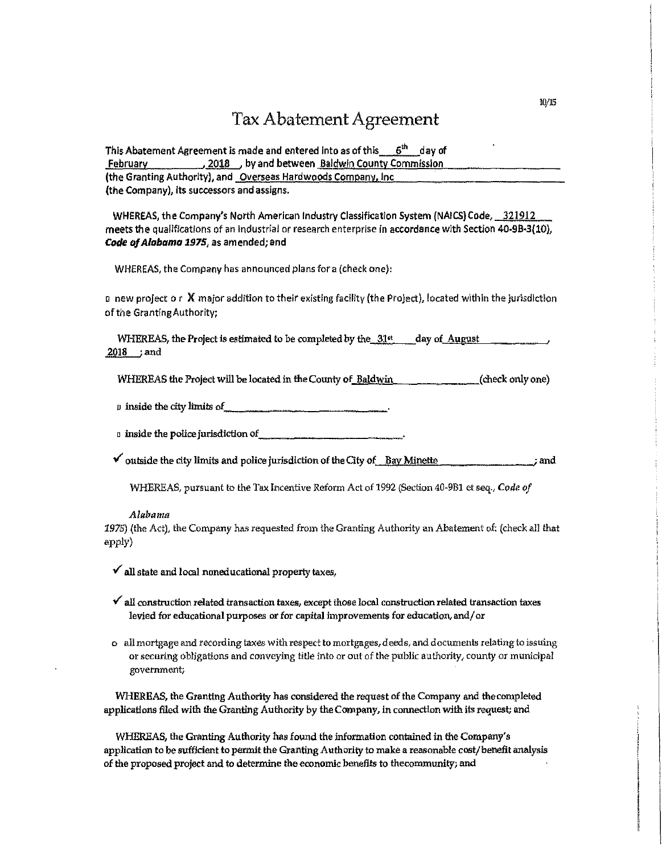# Tax Abatement Agreement

| This Abatement Agreement is made and entered into as of this $6th$ day of |
|---------------------------------------------------------------------------|
| <b>February</b> 2018 by and between Baldwin County Commission             |
| (the Granting Authority), and Overseas Hardwoods Company, Inc.            |
| (the Company), its successors and assigns.                                |

WHEREAS, the Company's North American Industry Classification System (NAICS) Code, 321912 meets the qualifications of an industrial or research enterprise In accordance with Section 40-9B-3(10), *Code of Alabamo 2975,* as amended; and

WHEREAS, the Company has announced plans for a (check one),

a new project o r X major addition to their existing facility (the Project), located within the jurisdiction of the Granting Authority;

WHEREAS, the Project is estimated to be completed by the  $-3.1$ <sup>tt</sup> day of August 2018 ;and

WHEREAS the Project will be located in the County of-Baldwin (check only one)

 $\n p \n *inside the city limits of*$ 

 $\Box$  inside the police jurisdiction of  $\Box$ 

 $\checkmark$  outside the city limits and police jurisdiction of the City of.\_\_Bay Minette\_\_\_\_\_\_\_\_\_\_\_\_\_\_\_\_; and

WHEREAS, pursuant to the Tax Incentive Reform Act of 1992 (Section 40-9B1 et seq., *Code of* 

### *Alabama*

*1975)* (the Act), the Company has requested from the Granting Authority an Abatement of: (check all that apply)

- $\checkmark$  all state and local noneducational property taxes,
- $\checkmark$  all construction related transaction taxes, except those local construction related transaction taxes levied for educational purposes or for capital improvements for education,and/ or
- **o** all mortgage and recording taxes with respect to mortgages, deeds, and documents relating to issuing **or securing obligations and conveying title into or out of the public authority, county or municipal**  government;

WHEREAS, the Granting Authority has considered the request of the Company and thecompleted applications filed with the Granting Authority by the Company, in connection with its request; and

WHEREAS, the Granting Authority has found the information contained in the Company's application to be sufficient to permit the Granting Authority to make a reasonable cost/benefit analysis of the proposed project and to determine the economic benefits to thecommunity; and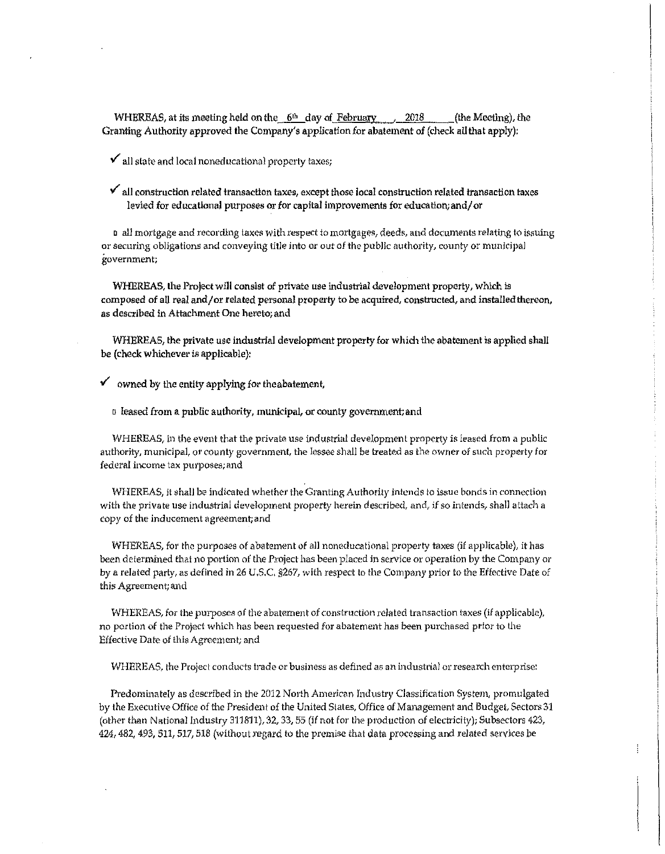WHEREAS, at its meeting held on the  $-6<sup>th</sup>$  day of February , 2018 (the Meeting), the Granting Authority approved the Company's application for abatement of (check all that apply):

 $\checkmark$  all state and local noneducational property taxes;

 $\checkmark$  all construction related transaction taxes, except those local construction related transaction taxes levied for educational purposes or for capital improvements for education; and/ or

**a all mortgage and recording taxes with respect fo mortgages, deeds, and docum-ents relating to issuing or securing obligations and conveying title into or out of the public authority, county or municipal government;** 

WHEREAS, the Project will consist of private use industrial development property, which is composed of all real and/ or related personal property to be acquired, constructed, and installed thereon, as described in Attachment One hereto; and

WHEREAS, the private use industrial development property for which the abatement is applied shall be (check whichever is applicable):

 $\checkmark$  owned by the entity applying for the abatement,

a leased from a public authority, municipal, or county govemment;and

WHEREAS, in the event that the private use industrial development property is leased from a public authority, municipal, or county government, the lessee shall be treated as the owner of such property for **federal income** tax **purposes; and** 

**WHEREAS, it shall be indicated whether the Granting Authority intends to issue bonds in connection with the private use industrial development property herein described, and, if so intendsf shall attach a copy of the inducement agreement;and** 

WHEREAS, for the purposes of abatement of all noneducational property taxes (if applicable), it has been determined that no portion of the Project has been placed in service or operation by the Company or by a related party, as defined in 26 U.S.C. §267, with respect to the Company prior to the Effective Date of **this Agreement;and** 

**WHEREAS, for the purposes of the abatement of construction related transaction taxes (if applicable), no portion of the Project which has been requested for abatement has been purchased prior to the**  Effective Date of this Agreement; and

**WHEREAS, the Projecl' conducts trade or business as defined as an industrial or research enterprise:** 

Predominately as described in the 2012 North American Industry Classification System, promulgated by the Executive Office of the President of the United States, Office of Management and Budget, Sectors 31 (other than National Industry 311811), 32, 33, 55 (if not for the production of electricity); Subsectors 423, 424,482, 493,511,517,518 (without regard to the premise that data processing and related services be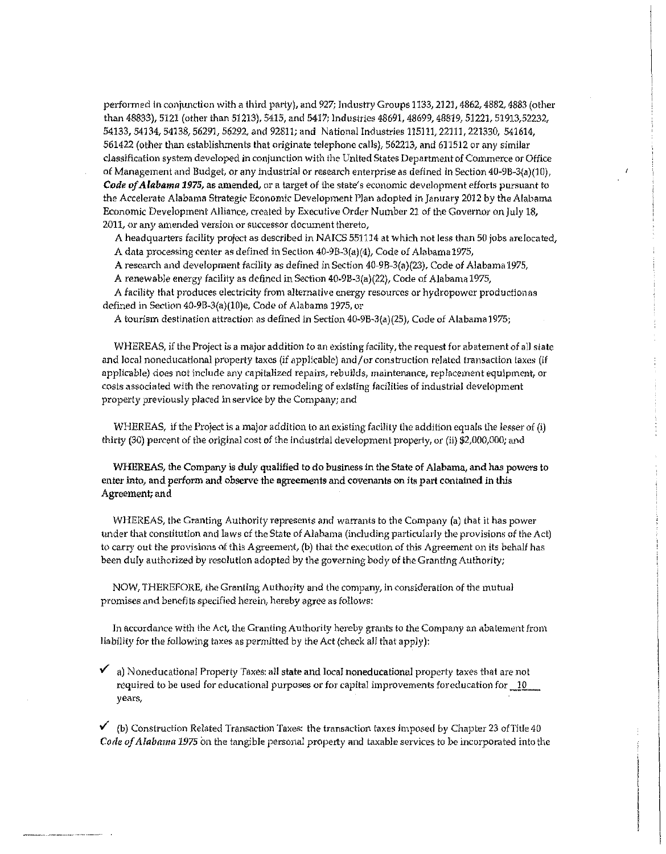performed in conjunction with a third party), and 927; Industry Groups 1133, 2121, 4862, 4882, 4883 (other than 48833), 5121 (other than 51213), 5415, and 5417; Industries 48691, 48699, 48819, 51221, 51913,52232, 54133, 54134, 54138, 56291, 56292, and 92811; and National Industries 115111,22111, 221330, 541614, 561422 (other than establishments that originate telephone calls), 562213, and 611512 or any similar **classification sys tern developed in conjunction with the United States Department of Commerce or Office**  of Management and Budget, or any industrial or research enterprise as defined in Section 40-9B-3(a)(10), *Code of Alabama 1975,* **as amended, or a target of the state's economic development efforts pursuant to** the Accelerate Alabama Strategic Economic Development Plan adopted in January 2012 by the Alabama Economic Development Alliance, created by Executive Order Number 21 of the Governor on July 18, **2011, or any amended version or successor document thereto,** 

A headquarters facility project as described in NAICS 551114 at which not less than 50 jobs are located, A data processing center as defined in Section 40-9B-3(a)(4), Code of Alabama 1975,

A research and development facility as defined in Section 40-9B-3(a)(23), Code of Alabama 1975,

A renewable energy facility as defined in Section 40-9B-3(a)(22), Code of Alabama 1975,

**A facility that produces electricity from aJternatlve energy resources 01· hydropower production as**  defined in Section 40-9B-3(a)(10)e, Code of Alabama 1975, or

A tourism destination attraction as defined in Section 40-9B-3(a)(25), Code of Alabama 1975;

WHEREAS, if the Project is a major addition *to* an existing facility, the request for abatement of all state **and local noneducational property taxes {if applicable) and/or construction related transaction taxes (H applicable) does not include any capitalized repairs~ rebuj]ds <sup>1</sup>maintenance1 replacement equipment, or costs associated with the renovating or remodeling of existing facilities of industrial development**  property previously placed in service by the Company; and

WHEREAS, if the Project is a major addition to an existing facility the addition equals the lesser of (i) thirty (30) percent of the original cost of the industrial development property, or (ii) \$2,000,000; and

WHEREAS, the Company is duly qualified to do business in the State of Alabama, and has powers to enter into, and perform and observe the agreements and covenants on its part contained in this **Agreement; and** 

WHEREAS, the Granting Authority represents and warrants to the Company (a) that it has power under that constitution and laws of the State of Alabama (including particularly the provisions of the Act) **to carry out the provisions of this Agreement, (b) that the execution of this Agreement on its behalf has**  been duly authorized by resolution adopted by the governing body of the Granting Authority;

NOW, THEREFORE, the Granting Authority and the company, in consideration of the mutual promises and benefits specified herein, hereby agree as follows:

**ln accordance with the Act, the Granting Authority hereby grants to the Company an abatement fron.1**  liability for the following taxes as permitted by the Act (check all that apply):

 $\vee$  a) Noneducational Property Taxes: all state and local noneducational property taxes that are not **required to be used for educational purposes or for capital improvements foreducation for**  $\frac{10}{10}$ **. years,** 

↓ (b) Construction Related Transaction Taxes: the transaction taxes imposed by Chapter 23 of Title 40 *Code of Alabama 1975* on the tangible personal property and taxable services to be incorporated into the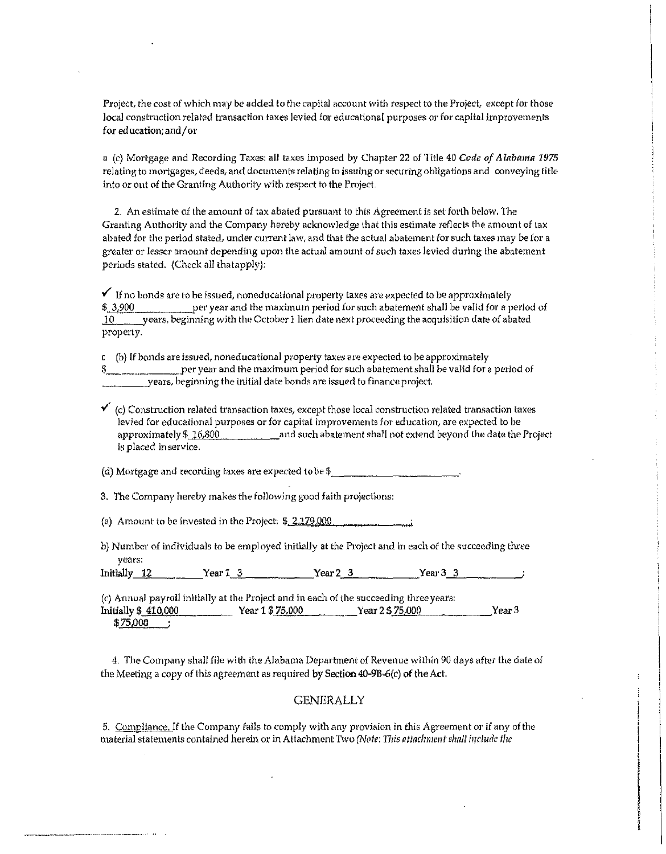Project, the cost of which may be added to the capital account with respect to the Project, except for those **Jocal construction related transaction taxes levied for educational purposes or for capital improvements**  for education;and/or

a (c) Mortgage and Recording Taxes: all taxes imposed by Chapter 22 of Title 40 *Code of Alabama 1975*  **relating to mortgages, deeds, and documents relating to issuing or securing obligations and conveying title**  into or out of the Granting Authority with respect to the Project.

**2. An esHmate of the amount of tax abated pursuant to this Agreement is set forth below. The**  Granting Authority and the Company hereby acknowledge that this estimate reflects the amount of tax **abated for the period stated, under current law, and that the actual abatement for such taxes may be for a greater or lesser amount depending upon the actual amount of such taxes levied during the abatement**  periods stated. (Check all thatapply):

 $\checkmark$  If no bonds are to be issued, noneducational property taxes are expected to be approximately \$ 3,900. per year and the maximum period for such abatement shall be valid for a period of **J.Q\_\_\_\_\_years 1 beginning with the October 1 lien date next proceeding the acqufailion date of abated**  property.

**c (b} If bonds are issued, noneducational property taxes are expected to be approximately**  per year and the maximum period for such abatement shall be valid for a period of  $-$  years, beginning the initial date bonds are issued to finance project.

 $\checkmark$  (c) Construction related transaction taxes, except those local construction related transaction taxes **levied for educational purposes or for capital improvernents for education, are expected to be**  approximately\$ 16,800 and such abatement shall not extend beyond the date the Project **is placed in service.** 

(d) Mortgage and recording taxes are expected to be\$ \_\_\_\_\_\_\_\_\_\_\_ \_

3. The Company hereby makes the following good faith projections:

(a) Amount to be invested in the Project:  $$2.179.000$  . Amount to be invested in the Project:  $$2.179.000$ 

b) Number of individuals to be employed initially at the Project and in each of the succeeding three **years:** 

 $Initially_12$  Year 1\_3 \_\_\_\_\_\_ Year 2\_3 \_\_\_\_\_ Year 3\_3

(c) Annual payroll initially at the Project and in each of the succeeding three years: Initially \$410,000 Year 1\$75,000 Year 2\$ 75,000 Year 3 \$ 75.000

4. The Company shall file with the Alabama Department of Revenue within 90 days after the date of the Meeting a copy of this agreement as required by Section 40-9B"6(c) **of** the Act.

# **GENERALLY**

**5.** Compliance. If the Company fails to comply with any provision in this Agreement or if any of the material statements contained herein or in Attachment Two *(Note: This attachment shall include the*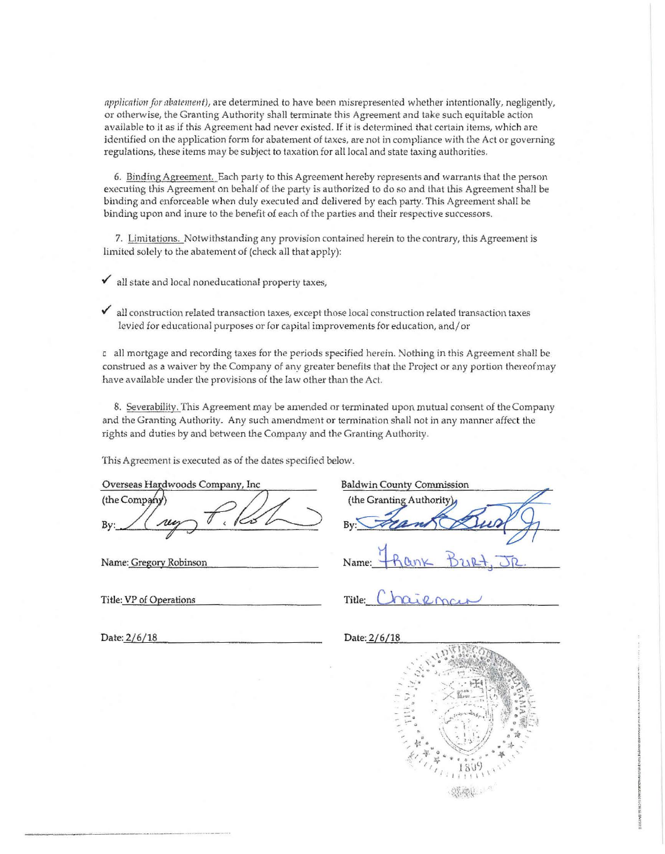application for *abatement*), are determined to have been misrepresented whether intentionally, negligently, or otherwise, the Granting Authority shall terminate this Agreement and take such equitable action available to it as if this Agreement had never existed. If it is determined that certain items, which are identified on the application form for abatement of taxes, are nol in compliance with the Act or governing regula tions, these items may be subject to taxation for all local and state taxing authorities.

6. Binding Agreement. Each party to this Agreement hereby represents and warrants that the person executing this Agreement on behalf of the party is authorized to do so and that lhis Agreement shall be binding and enforceable when duly executed and delivered by each party. This Agreement shall be binding upon and inure to the benefit of each of the parties and their respective successors.

7. Limitations. Notwithstanding any provision contained herein to the contrary, this Agreement is limited solely to the abatement of (check all that apply):

 $\checkmark$  all state and local noneducational property taxes,

 $\checkmark$  all construction related transaction taxes, except those local construction related transaction taxes levied for educational purposes or for capital improvements for education, and/ or

c all mortgage and recording taxes for the periods specified herein. Nothing in this Agreement shall be construed as a waiver by the Company of any greater benefits that the Project or any portion thereofmay have available under the provisions of the law other than the Act.

8. Severability. This Agreement may *be* amended or terminated upon. mutual consent of the Company and the Granting Authority. Any such amendment or termination shall not in any manner affect the rights and duties by and between the Company and the Granting Authority.

This Agreement is executed as of the dates specified below.

Overseas Hardwoods Company, Inc (the Company

Name: Gregory Robinson

|          | <b>Baldwin County Commission</b> |
|----------|----------------------------------|
|          | (the Granting Authority)         |
| $R_{V'}$ |                                  |
| Name:    |                                  |

Title: VP of Operations  $\qquad \qquad$  Title:  $\bigcup \Omega \cup \Omega \cap C$ 

Date: 2/6/18 Date: 2/6/18



 $\frac{1}{2}$ 1. approved by i complete distributions

in die Angelseungen<br>Besteht **International** 

I i'r yn yn ddiwyddiadau ar yn y cyfeiriadau yn y cyfeiriadau yn y gyfeiriadau yn y cyfeiriadau yn y cyfeiriad<br>Definifiad yn y cyfeiriadau yn y cyfeiriadau yn y cyfeiriadau yn y cyfeiriadau yn y cyfeiriadau yn y cyfeiriad • ~ 15092